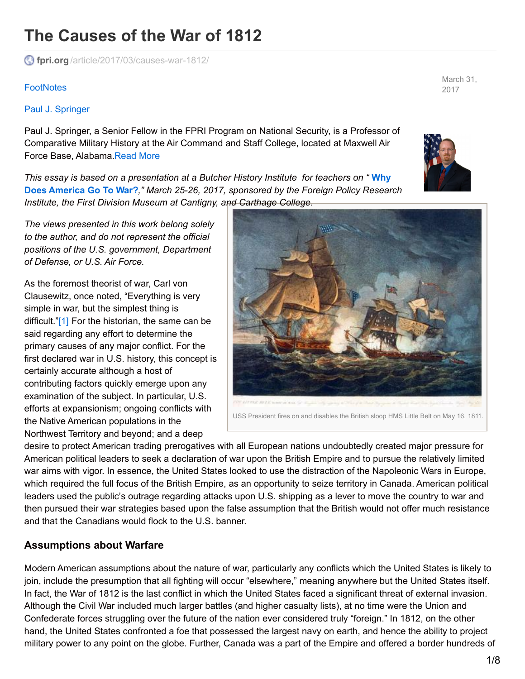# **The Causes of the War of 1812**

**fpri.org** [/article/2017/03/causes-war-1812/](http://www.fpri.org/article/2017/03/causes-war-1812/)

#### **[FootNotes](http://www.fpri.org/publications/footnotes)**

#### Paul J. [Springer](http://www.fpri.org/contributor/paul-springer/)

Paul J. Springer, a Senior Fellow in the FPRI Program on National Security, is a Professor of Comparative Military History at the Air Command and Staff College, located at Maxwell Air Force Base, Alabama[.Read](http://www.fpri.org/contributor/paul-springer/) More

*This essay is based on a [presentation](http://www.fpri.org/conference/america-go-war/) at a Butcher History Institute for teachers on "* **Why Does America Go To War?***," March 25-26, 2017, sponsored by the Foreign Policy Research Institute, the First Division Museum at Cantigny, and Carthage College.*

*The views presented in this work belong solely to the author, and do not represent the official positions of the U.S. government, Department of Defense, or U.S. Air Force.*

<span id="page-0-0"></span>As the foremost theorist of war, Carl von Clausewitz, once noted, "Everything is very simple in war, but the simplest thing is difficult.["\[1\]](#page-6-0) For the historian, the same can be said regarding any effort to determine the primary causes of any major conflict. For the first declared war in U.S. history, this concept is certainly accurate although a host of contributing factors quickly emerge upon any examination of the subject. In particular, U.S. efforts at expansionism; ongoing conflicts with the Native American populations in the Northwest Territory and beyond; and a deep



desire to protect American trading prerogatives with all European nations undoubtedly created major pressure for American political leaders to seek a declaration of war upon the British Empire and to pursue the relatively limited war aims with vigor. In essence, the United States looked to use the distraction of the Napoleonic Wars in Europe, which required the full focus of the British Empire, as an opportunity to seize territory in Canada. American political leaders used the public's outrage regarding attacks upon U.S. shipping as a lever to move the country to war and then pursued their war strategies based upon the false assumption that the British would not offer much resistance and that the Canadians would flock to the U.S. banner.

#### **Assumptions about Warfare**

Modern American assumptions about the nature of war, particularly any conflicts which the United States is likely to join, include the presumption that all fighting will occur "elsewhere," meaning anywhere but the United States itself. In fact, the War of 1812 is the last conflict in which the United States faced a significant threat of external invasion. Although the Civil War included much larger battles (and higher casualty lists), at no time were the Union and Confederate forces struggling over the future of the nation ever considered truly "foreign." In 1812, on the other hand, the United States confronted a foe that possessed the largest navy on earth, and hence the ability to project military power to any point on the globe. Further, Canada was a part of the Empire and offered a border hundreds of

March 31, 2017

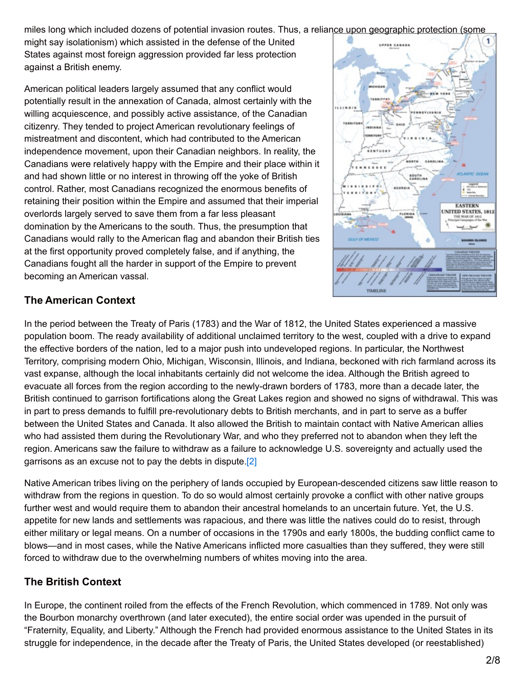miles long which included dozens of potential invasion routes. Thus, a reliance upon geographic protection (some

might say isolationism) which assisted in the defense of the United States against most foreign aggression provided far less protection against a British enemy.

American political leaders largely assumed that any conflict would potentially result in the annexation of Canada, almost certainly with the willing acquiescence, and possibly active assistance, of the Canadian citizenry. They tended to project American revolutionary feelings of mistreatment and discontent, which had contributed to the American independence movement, upon their Canadian neighbors. In reality, the Canadians were relatively happy with the Empire and their place within it and had shown little or no interest in throwing off the yoke of British control. Rather, most Canadians recognized the enormous benefits of retaining their position within the Empire and assumed that their imperial overlords largely served to save them from a far less pleasant domination by the Americans to the south. Thus, the presumption that Canadians would rally to the American flag and abandon their British ties at the first opportunity proved completely false, and if anything, the Canadians fought all the harder in support of the Empire to prevent becoming an American vassal.



# **The American Context**

In the period between the Treaty of Paris (1783) and the War of 1812, the United States experienced a massive population boom. The ready availability of additional unclaimed territory to the west, coupled with a drive to expand the effective borders of the nation, led to a major push into undeveloped regions. In particular, the Northwest Territory, comprising modern Ohio, Michigan, Wisconsin, Illinois, and Indiana, beckoned with rich farmland across its vast expanse, although the local inhabitants certainly did not welcome the idea. Although the British agreed to evacuate all forces from the region according to the newly-drawn borders of 1783, more than a decade later, the British continued to garrison fortifications along the Great Lakes region and showed no signs of withdrawal. This was in part to press demands to fulfill pre-revolutionary debts to British merchants, and in part to serve as a buffer between the United States and Canada. It also allowed the British to maintain contact with Native American allies who had assisted them during the Revolutionary War, and who they preferred not to abandon when they left the region. Americans saw the failure to withdraw as a failure to acknowledge U.S. sovereignty and actually used the garrisons as an excuse not to pay the debts in dispute.<sup>[\[2\]](#page-6-1)</sup>

<span id="page-1-0"></span>Native American tribes living on the periphery of lands occupied by European-descended citizens saw little reason to withdraw from the regions in question. To do so would almost certainly provoke a conflict with other native groups further west and would require them to abandon their ancestral homelands to an uncertain future. Yet, the U.S. appetite for new lands and settlements was rapacious, and there was little the natives could do to resist, through either military or legal means. On a number of occasions in the 1790s and early 1800s, the budding conflict came to blows—and in most cases, while the Native Americans inflicted more casualties than they suffered, they were still forced to withdraw due to the overwhelming numbers of whites moving into the area.

# **The British Context**

In Europe, the continent roiled from the effects of the French Revolution, which commenced in 1789. Not only was the Bourbon monarchy overthrown (and later executed), the entire social order was upended in the pursuit of "Fraternity, Equality, and Liberty." Although the French had provided enormous assistance to the United States in its struggle for independence, in the decade after the Treaty of Paris, the United States developed (or reestablished)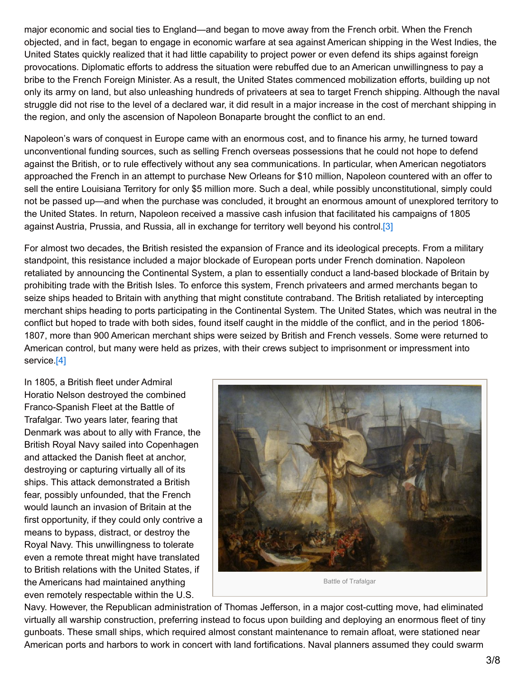major economic and social ties to England—and began to move away from the French orbit. When the French objected, and in fact, began to engage in economic warfare at sea against American shipping in the West Indies, the United States quickly realized that it had little capability to project power or even defend its ships against foreign provocations. Diplomatic efforts to address the situation were rebuffed due to an American unwillingness to pay a bribe to the French Foreign Minister. As a result, the United States commenced mobilization efforts, building up not only its army on land, but also unleashing hundreds of privateers at sea to target French shipping. Although the naval struggle did not rise to the level of a declared war, it did result in a major increase in the cost of merchant shipping in the region, and only the ascension of Napoleon Bonaparte brought the conflict to an end.

Napoleon's wars of conquest in Europe came with an enormous cost, and to finance his army, he turned toward unconventional funding sources, such as selling French overseas possessions that he could not hope to defend against the British, or to rule effectively without any sea communications. In particular, when American negotiators approached the French in an attempt to purchase New Orleans for \$10 million, Napoleon countered with an offer to sell the entire Louisiana Territory for only \$5 million more. Such a deal, while possibly unconstitutional, simply could not be passed up—and when the purchase was concluded, it brought an enormous amount of unexplored territory to the United States. In return, Napoleon received a massive cash infusion that facilitated his campaigns of 1805 against Austria, Prussia, and Russia, all in exchange for territory well beyond his control[.\[3\]](#page-6-2)

For almost two decades, the British resisted the expansion of France and its ideological precepts. From a military standpoint, this resistance included a major blockade of European ports under French domination. Napoleon retaliated by announcing the Continental System, a plan to essentially conduct a land-based blockade of Britain by prohibiting trade with the British Isles. To enforce this system, French privateers and armed merchants began to seize ships headed to Britain with anything that might constitute contraband. The British retaliated by intercepting merchant ships heading to ports participating in the Continental System. The United States, which was neutral in the conflict but hoped to trade with both sides, found itself caught in the middle of the conflict, and in the period 1806- 1807, more than 900 American merchant ships were seized by British and French vessels. Some were returned to American control, but many were held as prizes, with their crews subject to imprisonment or impressment into service.<sup>[4]</sup>

<span id="page-2-1"></span>In 1805, a British fleet under Admiral Horatio Nelson destroyed the combined Franco-Spanish Fleet at the Battle of Trafalgar. Two years later, fearing that Denmark was about to ally with France, the British Royal Navy sailed into Copenhagen and attacked the Danish fleet at anchor, destroying or capturing virtually all of its ships. This attack demonstrated a British fear, possibly unfounded, that the French would launch an invasion of Britain at the first opportunity, if they could only contrive a means to bypass, distract, or destroy the Royal Navy. This unwillingness to tolerate even a remote threat might have translated to British relations with the United States, if the Americans had maintained anything even remotely respectable within the U.S.

<span id="page-2-0"></span>

Navy. However, the Republican administration of Thomas Jefferson, in a major cost-cutting move, had eliminated virtually all warship construction, preferring instead to focus upon building and deploying an enormous fleet of tiny gunboats. These small ships, which required almost constant maintenance to remain afloat, were stationed near American ports and harbors to work in concert with land fortifications. Naval planners assumed they could swarm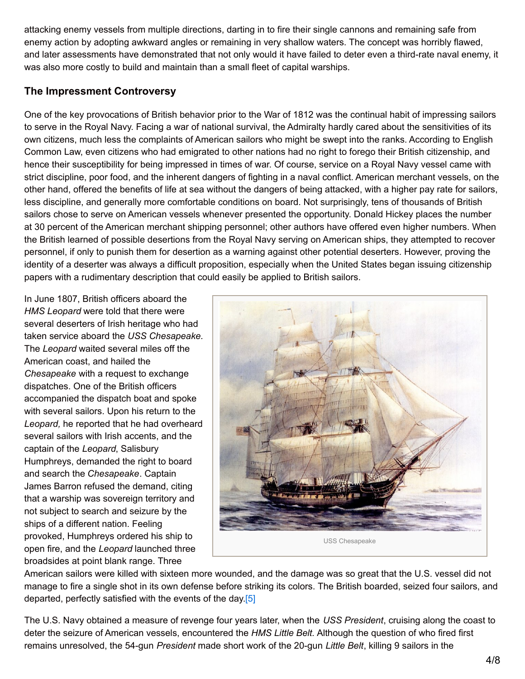attacking enemy vessels from multiple directions, darting in to fire their single cannons and remaining safe from enemy action by adopting awkward angles or remaining in very shallow waters. The concept was horribly flawed, and later assessments have demonstrated that not only would it have failed to deter even a third-rate naval enemy, it was also more costly to build and maintain than a small fleet of capital warships.

# **The Impressment Controversy**

One of the key provocations of British behavior prior to the War of 1812 was the continual habit of impressing sailors to serve in the Royal Navy. Facing a war of national survival, the Admiralty hardly cared about the sensitivities of its own citizens, much less the complaints of American sailors who might be swept into the ranks. According to English Common Law, even citizens who had emigrated to other nations had no right to forego their British citizenship, and hence their susceptibility for being impressed in times of war. Of course, service on a Royal Navy vessel came with strict discipline, poor food, and the inherent dangers of fighting in a naval conflict. American merchant vessels, on the other hand, offered the benefits of life at sea without the dangers of being attacked, with a higher pay rate for sailors, less discipline, and generally more comfortable conditions on board. Not surprisingly, tens of thousands of British sailors chose to serve on American vessels whenever presented the opportunity. Donald Hickey places the number at 30 percent of the American merchant shipping personnel; other authors have offered even higher numbers. When the British learned of possible desertions from the Royal Navy serving on American ships, they attempted to recover personnel, if only to punish them for desertion as a warning against other potential deserters. However, proving the identity of a deserter was always a difficult proposition, especially when the United States began issuing citizenship papers with a rudimentary description that could easily be applied to British sailors.

In June 1807, British officers aboard the *HMS Leopard* were told that there were several deserters of Irish heritage who had taken service aboard the *USS Chesapeake.* The *Leopard* waited several miles off the American coast, and hailed the *Chesapeake* with a request to exchange dispatches. One of the British officers accompanied the dispatch boat and spoke with several sailors. Upon his return to the *Leopard,* he reported that he had overheard several sailors with Irish accents, and the captain of the *Leopard*, Salisbury Humphreys, demanded the right to board and search the *Chesapeake*. Captain James Barron refused the demand, citing that a warship was sovereign territory and not subject to search and seizure by the ships of a different nation. Feeling provoked, Humphreys ordered his ship to open fire, and the *Leopard* launched three broadsides at point blank range. Three



American sailors were killed with sixteen more wounded, and the damage was so great that the U.S. vessel did not manage to fire a single shot in its own defense before striking its colors. The British boarded, seized four sailors, and departed, perfectly satisfied with the events of the day [5]

<span id="page-3-0"></span>The U.S. Navy obtained a measure of revenge four years later, when the *USS President*, cruising along the coast to deter the seizure of American vessels, encountered the *HMS Little Belt.* Although the question of who fired first remains unresolved, the 54-gun *President* made short work of the 20-gun *Little Belt*, killing 9 sailors in the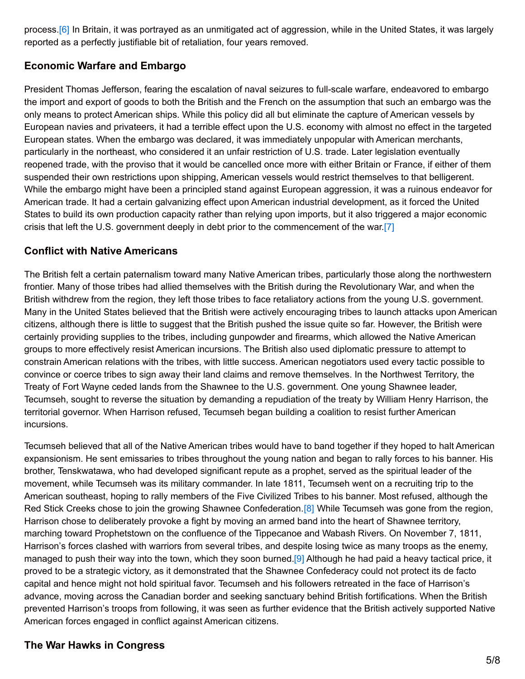<span id="page-4-0"></span>process.[\[6\]](#page-6-5) In Britain, it was portrayed as an unmitigated act of aggression, while in the United States, it was largely reported as a perfectly justifiable bit of retaliation, four years removed.

# **Economic Warfare and Embargo**

President Thomas Jefferson, fearing the escalation of naval seizures to full-scale warfare, endeavored to embargo the import and export of goods to both the British and the French on the assumption that such an embargo was the only means to protect American ships. While this policy did all but eliminate the capture of American vessels by European navies and privateers, it had a terrible effect upon the U.S. economy with almost no effect in the targeted European states. When the embargo was declared, it was immediately unpopular with American merchants, particularly in the northeast, who considered it an unfair restriction of U.S. trade. Later legislation eventually reopened trade, with the proviso that it would be cancelled once more with either Britain or France, if either of them suspended their own restrictions upon shipping, American vessels would restrict themselves to that belligerent. While the embargo might have been a principled stand against European aggression, it was a ruinous endeavor for American trade. It had a certain galvanizing effect upon American industrial development, as it forced the United States to build its own production capacity rather than relying upon imports, but it also triggered a major economic crisis that left the U.S. government deeply in debt prior to the commencement of the war[.\[7\]](#page-6-6)

#### <span id="page-4-1"></span>**Conflict with Native Americans**

The British felt a certain paternalism toward many Native American tribes, particularly those along the northwestern frontier. Many of those tribes had allied themselves with the British during the Revolutionary War, and when the British withdrew from the region, they left those tribes to face retaliatory actions from the young U.S. government. Many in the United States believed that the British were actively encouraging tribes to launch attacks upon American citizens, although there is little to suggest that the British pushed the issue quite so far. However, the British were certainly providing supplies to the tribes, including gunpowder and firearms, which allowed the Native American groups to more effectively resist American incursions. The British also used diplomatic pressure to attempt to constrain American relations with the tribes, with little success. American negotiators used every tactic possible to convince or coerce tribes to sign away their land claims and remove themselves. In the Northwest Territory, the Treaty of Fort Wayne ceded lands from the Shawnee to the U.S. government. One young Shawnee leader, Tecumseh, sought to reverse the situation by demanding a repudiation of the treaty by William Henry Harrison, the territorial governor. When Harrison refused, Tecumseh began building a coalition to resist further American incursions.

<span id="page-4-2"></span>Tecumseh believed that all of the Native American tribes would have to band together if they hoped to halt American expansionism. He sent emissaries to tribes throughout the young nation and began to rally forces to his banner. His brother, Tenskwatawa, who had developed significant repute as a prophet, served as the spiritual leader of the movement, while Tecumseh was its military commander. In late 1811, Tecumseh went on a recruiting trip to the American southeast, hoping to rally members of the Five Civilized Tribes to his banner. Most refused, although the Red Stick Creeks chose to join the growing Shawnee Confederation.<sup>[8]</sup> While Tecumseh was gone from the region, Harrison chose to deliberately provoke a fight by moving an armed band into the heart of Shawnee territory, marching toward Prophetstown on the confluence of the Tippecanoe and Wabash Rivers. On November 7, 1811, Harrison's forces clashed with warriors from several tribes, and despite losing twice as many troops as the enemy, managed to push their way into the town, which they soon burned[.\[9\]](#page-6-8) Although he had paid a heavy tactical price, it proved to be a strategic victory, as it demonstrated that the Shawnee Confederacy could not protect its de facto capital and hence might not hold spiritual favor. Tecumseh and his followers retreated in the face of Harrison's advance, moving across the Canadian border and seeking sanctuary behind British fortifications. When the British prevented Harrison's troops from following, it was seen as further evidence that the British actively supported Native American forces engaged in conflict against American citizens.

# <span id="page-4-3"></span>**The War Hawks in Congress**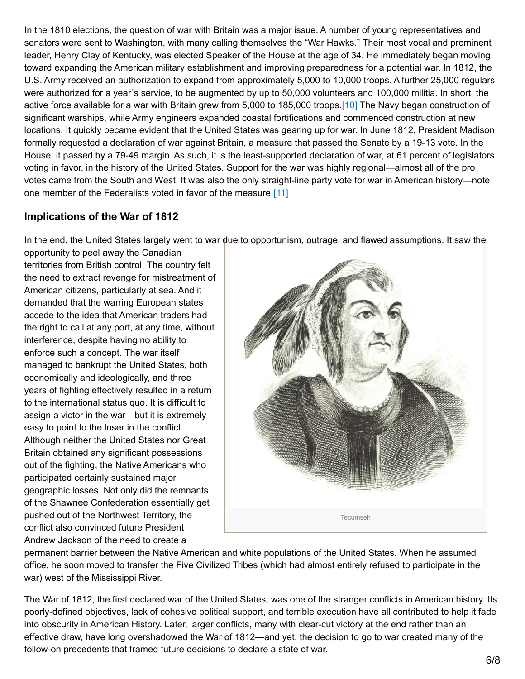In the 1810 elections, the question of war with Britain was a major issue. A number of young representatives and senators were sent to Washington, with many calling themselves the "War Hawks." Their most vocal and prominent leader, Henry Clay of Kentucky, was elected Speaker of the House at the age of 34. He immediately began moving toward expanding the American military establishment and improving preparedness for a potential war. In 1812, the U.S. Army received an authorization to expand from approximately 5,000 to 10,000 troops. A further 25,000 regulars were authorized for a year's service, to be augmented by up to 50,000 volunteers and 100,000 militia. In short, the active force available for a war with Britain grew from 5,000 to 185,000 troops.[\[10\]](#page-6-9) The Navy began construction of significant warships, while Army engineers expanded coastal fortifications and commenced construction at new locations. It quickly became evident that the United States was gearing up for war. In June 1812, President Madison formally requested a declaration of war against Britain, a measure that passed the Senate by a 19-13 vote. In the House, it passed by a 79-49 margin. As such, it is the least-supported declaration of war, at 61 percent of legislators voting in favor, in the history of the United States. Support for the war was highly regional—almost all of the pro votes came from the South and West. It was also the only straight-line party vote for war in American history—note one member of the Federalists voted in favor of the measure[.\[11\]](#page-7-0)

### **Implications of the War of 1812**

In the end, the United States largely went to war due to opportunism, outrage, and flawed assumptions. It saw the

opportunity to peel away the Canadian territories from British control. The country felt the need to extract revenge for mistreatment of American citizens, particularly at sea. And it demanded that the warring European states accede to the idea that American traders had the right to call at any port, at any time, without interference, despite having no ability to enforce such a concept. The war itself managed to bankrupt the United States, both economically and ideologically, and three years of fighting effectively resulted in a return to the international status quo. It is difficult to assign a victor in the war—but it is extremely easy to point to the loser in the conflict. Although neither the United States nor Great Britain obtained any significant possessions out of the fighting, the Native Americans who participated certainly sustained major geographic losses. Not only did the remnants of the Shawnee Confederation essentially get pushed out of the Northwest Territory, the conflict also convinced future President Andrew Jackson of the need to create a

<span id="page-5-1"></span><span id="page-5-0"></span>

permanent barrier between the Native American and white populations of the United States. When he assumed office, he soon moved to transfer the Five Civilized Tribes (which had almost entirely refused to participate in the war) west of the Mississippi River.

The War of 1812, the first declared war of the United States, was one of the stranger conflicts in American history. Its poorly-defined objectives, lack of cohesive political support, and terrible execution have all contributed to help it fade into obscurity in American History. Later, larger conflicts, many with clear-cut victory at the end rather than an effective draw, have long overshadowed the War of 1812—and yet, the decision to go to war created many of the follow-on precedents that framed future decisions to declare a state of war.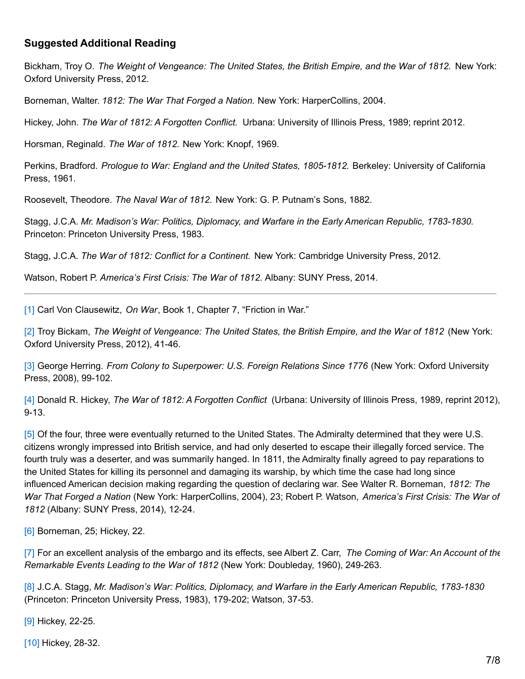#### **Suggested Additional Reading**

Bickham, Troy O. *The Weight of Vengeance: The United States, the British Empire, and the War of 1812.* New York: Oxford University Press, 2012.

Borneman, Walter. *1812: The War That Forged a Nation.* New York: HarperCollins, 2004.

Hickey, John. *The War of 1812: A Forgotten Conflict.* Urbana: University of Illinois Press, 1989; reprint 2012.

Horsman, Reginald. *The War of 1812.* New York: Knopf, 1969.

Perkins, Bradford. *Prologue to War: England and the United States, 1805-1812.* Berkeley: University of California Press, 1961.

Roosevelt, Theodore. *The Naval War of 1812.* New York: G. P. Putnam's Sons, 1882.

Stagg, J.C.A. *Mr. Madison's War: Politics, Diplomacy, and Warfare in the Early American Republic, 1783-1830.* Princeton: Princeton University Press, 1983.

Stagg, J.C.A. *The War of 1812: Conflict for a Continent.* New York: Cambridge University Press, 2012.

Watson, Robert P. *America's First Crisis: The War of 1812.* Albany: SUNY Press, 2014.

<span id="page-6-0"></span>[\[1\]](#page-0-0) Carl Von Clausewitz, *On War*, Book 1, Chapter 7, "Friction in War."

<span id="page-6-1"></span>[\[2\]](#page-1-0) Troy Bickam, *The Weight of Vengeance: The United States, the British Empire, and the War of 1812* (New York: Oxford University Press, 2012), 41-46.

<span id="page-6-2"></span>[\[3\]](#page-2-0) George Herring. *From Colony to Superpower: U.S. Foreign Relations Since 1776* (New York: Oxford University Press, 2008), 99-102.

<span id="page-6-3"></span>[\[4\]](#page-2-1) Donald R. Hickey, *The War of 1812: A Forgotten Conflict* (Urbana: University of Illinois Press, 1989, reprint 2012), 9-13.

<span id="page-6-4"></span>[\[5\]](#page-3-0) Of the four, three were eventually returned to the United States. The Admiralty determined that they were U.S. citizens wrongly impressed into British service, and had only deserted to escape their illegally forced service. The fourth truly was a deserter, and was summarily hanged. In 1811, the Admiralty finally agreed to pay reparations to the United States for killing its personnel and damaging its warship, by which time the case had long since influenced American decision making regarding the question of declaring war. See Walter R. Borneman, *1812: The War That Forged a Nation* (New York: HarperCollins, 2004), 23; Robert P. Watson, *America's First Crisis: The War of 1812* (Albany: SUNY Press, 2014), 12-24.

<span id="page-6-5"></span>[\[6\]](#page-4-0) Borneman, 25; Hickey, 22.

<span id="page-6-6"></span>[\[7\]](#page-4-1) For an excellent analysis of the embargo and its effects, see Albert Z. Carr, *The Coming of War: An Account of the Remarkable Events Leading to the War of 1812* (New York: Doubleday, 1960), 249-263.

<span id="page-6-7"></span>[\[8\]](#page-4-2) J.C.A. Stagg, *Mr. Madison's War: Politics, Diplomacy, and Warfare in the Early American Republic, 1783-1830* (Princeton: Princeton University Press, 1983), 179-202; Watson, 37-53.

<span id="page-6-8"></span>[\[9\]](#page-4-3) Hickey, 22-25.

<span id="page-6-9"></span>[\[10\]](#page-5-0) Hickey, 28-32.